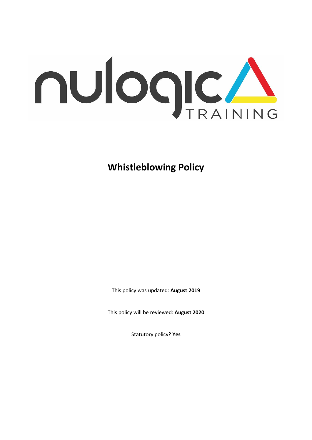

**Whistleblowing Policy**

This policy was updated: **August 2019**

This policy will be reviewed: **August 2020**

Statutory policy? **Yes**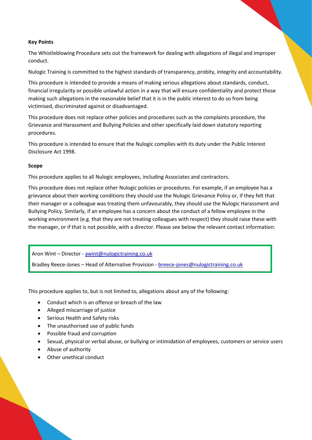# **Key Points**

The Whistleblowing Procedure sets out the framework for dealing with allegations of illegal and improper conduct.

Nulogic Training is committed to the highest standards of transparency, probity, integrity and accountability.

This procedure is intended to provide a means of making serious allegations about standards, conduct, financial irregularity or possible unlawful action in a way that will ensure confidentiality and protect those making such allegations in the reasonable belief that it is in the public interest to do so from being victimised, discriminated against or disadvantaged.

This procedure does not replace other policies and procedures such as the complaints procedure, the Grievance and Harassment and Bullying Policies and other specifically laid down statutory reporting procedures.

This procedure is intended to ensure that the Nulogic complies with its duty under the Public Interest Disclosure Act 1998.

#### **Scope**

This procedure applies to all Nulogic employees, including Associates and contractors.

This procedure does not replace other Nulogic policies or procedures. For example, if an employee has a grievance about their working conditions they should use the Nulogic Grievance Policy or, if they felt that their manager or a colleague was treating them unfavourably, they should use the Nulogic Harassment and Bullying Policy. Similarly, if an employee has a concern about the conduct of a fellow employee in the working environment (e.g. that they are not treating colleagues with respect) they should raise these with the manager, or if that is not possible, with a director. Please see below the relevant contact information:

Aron Wint – Director - [awint@nulogictraining.co.uk](mailto:awint@nulogictraining.co.uk)

Bradley Reece-Jones – Head of Alternative Provision - [breece-jones@nulogictraining.co.uk](mailto:breece-jones@nulogictraining.co.uk)

This procedure applies to, but is not limited to, allegations about any of the following:

- Conduct which is an offence or breach of the law
- Alleged miscarriage of justice
- Serious Health and Safety risks
- The unauthorised use of public funds
- Possible fraud and corruption
- Sexual, physical or verbal abuse, or bullying or intimidation of employees, customers or service users
- Abuse of authority
- Other unethical conduct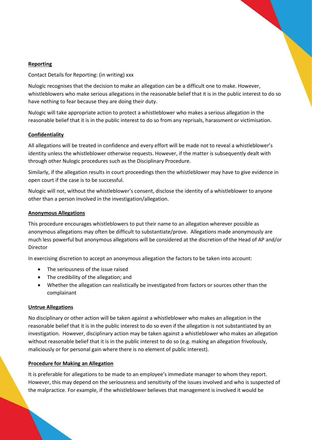# **Reporting**

Contact Details for Reporting: (in writing) xxx

Nulogic recognises that the decision to make an allegation can be a difficult one to make. However, whistleblowers who make serious allegations in the reasonable belief that it is in the public interest to do so have nothing to fear because they are doing their duty.

Nulogic will take appropriate action to protect a whistleblower who makes a serious allegation in the reasonable belief that it is in the public interest to do so from any reprisals, harassment or victimisation.

# **Confidentiality**

All allegations will be treated in confidence and every effort will be made not to reveal a whistleblower's identity unless the whistleblower otherwise requests. However, if the matter is subsequently dealt with through other Nulogic procedures such as the Disciplinary Procedure.

Similarly, if the allegation results in court proceedings then the whistleblower may have to give evidence in open court if the case is to be successful.

Nulogic will not, without the whistleblower's consent, disclose the identity of a whistleblower to anyone other than a person involved in the investigation/allegation.

# **Anonymous Allegations**

This procedure encourages whistleblowers to put their name to an allegation wherever possible as anonymous allegations may often be difficult to substantiate/prove. Allegations made anonymously are much less powerful but anonymous allegations will be considered at the discretion of the Head of AP and/or Director

In exercising discretion to accept an anonymous allegation the factors to be taken into account:

- The seriousness of the issue raised
- The credibility of the allegation; and
- Whether the allegation can realistically be investigated from factors or sources other than the complainant

#### **Untrue Allegations**

No disciplinary or other action will be taken against a whistleblower who makes an allegation in the reasonable belief that it is in the public interest to do so even if the allegation is not substantiated by an investigation. However, disciplinary action may be taken against a whistleblower who makes an allegation without reasonable belief that it is in the public interest to do so (e.g. making an allegation frivolously, maliciously or for personal gain where there is no element of public interest).

#### **Procedure for Making an Allegation**

It is preferable for allegations to be made to an employee's immediate manager to whom they report. However, this may depend on the seriousness and sensitivity of the issues involved and who is suspected of the malpractice. For example, if the whistleblower believes that management is involved it would be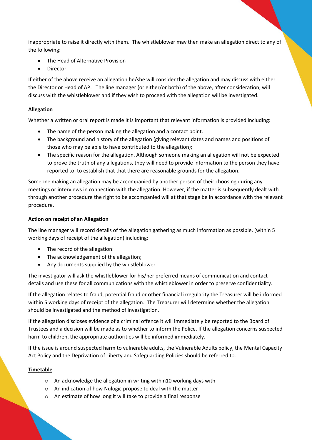inappropriate to raise it directly with them. The whistleblower may then make an allegation direct to any of the following:

- The Head of Alternative Provision
- Director

If either of the above receive an allegation he/she will consider the allegation and may discuss with either the Director or Head of AP. The line manager (or either/or both) of the above, after consideration, will discuss with the whistleblower and if they wish to proceed with the allegation will be investigated.

# **Allegation**

Whether a written or oral report is made it is important that relevant information is provided including:

- The name of the person making the allegation and a contact point.
- The background and history of the allegation (giving relevant dates and names and positions of those who may be able to have contributed to the allegation);
- The specific reason for the allegation. Although someone making an allegation will not be expected to prove the truth of any allegations, they will need to provide information to the person they have reported to, to establish that that there are reasonable grounds for the allegation.

Someone making an allegation may be accompanied by another person of their choosing during any meetings or interviews in connection with the allegation. However, if the matter is subsequently dealt with through another procedure the right to be accompanied will at that stage be in accordance with the relevant procedure.

### **Action on receipt of an Allegation**

The line manager will record details of the allegation gathering as much information as possible, (within 5 working days of receipt of the allegation) including:

- The record of the allegation:
- The acknowledgement of the allegation;
- Any documents supplied by the whistleblower

The investigator will ask the whistleblower for his/her preferred means of communication and contact details and use these for all communications with the whistleblower in order to preserve confidentiality.

If the allegation relates to fraud, potential fraud or other financial irregularity the Treasurer will be informed within 5 working days of receipt of the allegation. The Treasurer will determine whether the allegation should be investigated and the method of investigation.

If the allegation discloses evidence of a criminal offence it will immediately be reported to the Board of Trustees and a decision will be made as to whether to inform the Police. If the allegation concerns suspected harm to children, the appropriate authorities will be informed immediately.

If the issue is around suspected harm to vulnerable adults, the Vulnerable Adults policy, the Mental Capacity Act Policy and the Deprivation of Liberty and Safeguarding Policies should be referred to.

#### **Timetable**

- o An acknowledge the allegation in writing within10 working days with
- o An indication of how Nulogic propose to deal with the matter
- o An estimate of how long it will take to provide a final response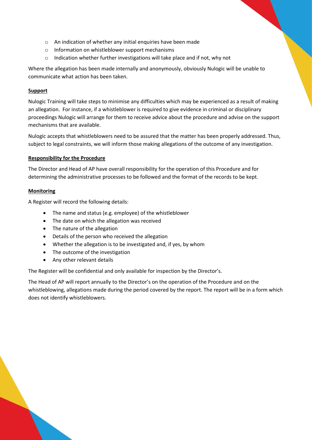- o An indication of whether any initial enquiries have been made
- o Information on whistleblower support mechanisms
- o Indication whether further investigations will take place and if not, why not

Where the allegation has been made internally and anonymously, obviously Nulogic will be unable to communicate what action has been taken.

# **Support**

Nulogic Training will take steps to minimise any difficulties which may be experienced as a result of making an allegation. For instance, if a whistleblower is required to give evidence in criminal or disciplinary proceedings Nulogic will arrange for them to receive advice about the procedure and advise on the support mechanisms that are available.

Nulogic accepts that whistleblowers need to be assured that the matter has been properly addressed. Thus, subject to legal constraints, we will inform those making allegations of the outcome of any investigation.

# **Responsibility for the Procedure**

The Director and Head of AP have overall responsibility for the operation of this Procedure and for determining the administrative processes to be followed and the format of the records to be kept.

# **Monitoring**

A Register will record the following details:

- The name and status (e.g. employee) of the whistleblower
- The date on which the allegation was received
- The nature of the allegation
- Details of the person who received the allegation
- Whether the allegation is to be investigated and, if yes, by whom
- The outcome of the investigation
- Any other relevant details

The Register will be confidential and only available for inspection by the Director's.

The Head of AP will report annually to the Director's on the operation of the Procedure and on the whistleblowing, allegations made during the period covered by the report. The report will be in a form which does not identify whistleblowers.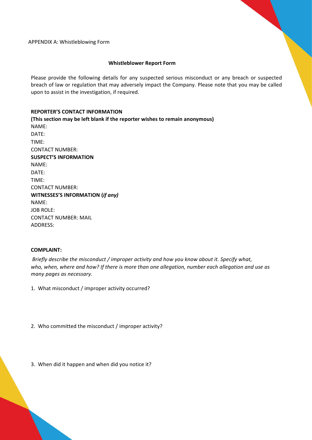APPENDIX A: Whistleblowing Form

#### **Whistleblower Report Form**

Please provide the following details for any suspected serious misconduct or any breach or suspected breach of law or regulation that may adversely impact the Company. Please note that you may be called upon to assist in the investigation, if required.

# **REPORTER'S CONTACT INFORMATION**

**(This section may be left blank if the reporter wishes to remain anonymous)** NAME: DATE: TIME: CONTACT NUMBER: **SUSPECT'S INFORMATION** NAME: DATE: TIME: CONTACT NUMBER: **WITNESSES'S INFORMATION (***if any)* NAME: JOB ROLE: CONTACT NUMBER: MAIL ADDRESS:

#### **COMPLAINT:**

*Briefly describe the misconduct / improper activity and how you know about it. Specify what, who, when, where and how? If there is more than one allegation, number each allegation and use as many pages as necessary.*

1. What misconduct / improper activity occurred?

2. Who committed the misconduct / improper activity?

3. When did it happen and when did you notice it?